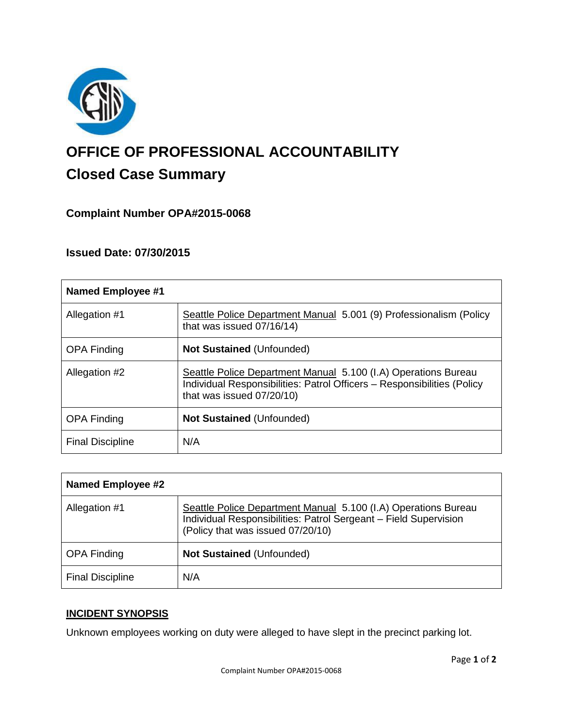

# **OFFICE OF PROFESSIONAL ACCOUNTABILITY Closed Case Summary**

# **Complaint Number OPA#2015-0068**

# **Issued Date: 07/30/2015**

| <b>Named Employee #1</b> |                                                                                                                                                                        |
|--------------------------|------------------------------------------------------------------------------------------------------------------------------------------------------------------------|
| Allegation #1            | Seattle Police Department Manual 5.001 (9) Professionalism (Policy<br>that was issued 07/16/14)                                                                        |
| <b>OPA Finding</b>       | <b>Not Sustained (Unfounded)</b>                                                                                                                                       |
| Allegation #2            | Seattle Police Department Manual 5.100 (I.A) Operations Bureau<br>Individual Responsibilities: Patrol Officers - Responsibilities (Policy<br>that was issued 07/20/10) |
| <b>OPA Finding</b>       | <b>Not Sustained (Unfounded)</b>                                                                                                                                       |
| <b>Final Discipline</b>  | N/A                                                                                                                                                                    |

| <b>Named Employee #2</b> |                                                                                                                                                                         |
|--------------------------|-------------------------------------------------------------------------------------------------------------------------------------------------------------------------|
| Allegation #1            | Seattle Police Department Manual 5.100 (I.A) Operations Bureau<br>Individual Responsibilities: Patrol Sergeant - Field Supervision<br>(Policy that was issued 07/20/10) |
| <b>OPA Finding</b>       | <b>Not Sustained (Unfounded)</b>                                                                                                                                        |
| <b>Final Discipline</b>  | N/A                                                                                                                                                                     |

# **INCIDENT SYNOPSIS**

Unknown employees working on duty were alleged to have slept in the precinct parking lot.